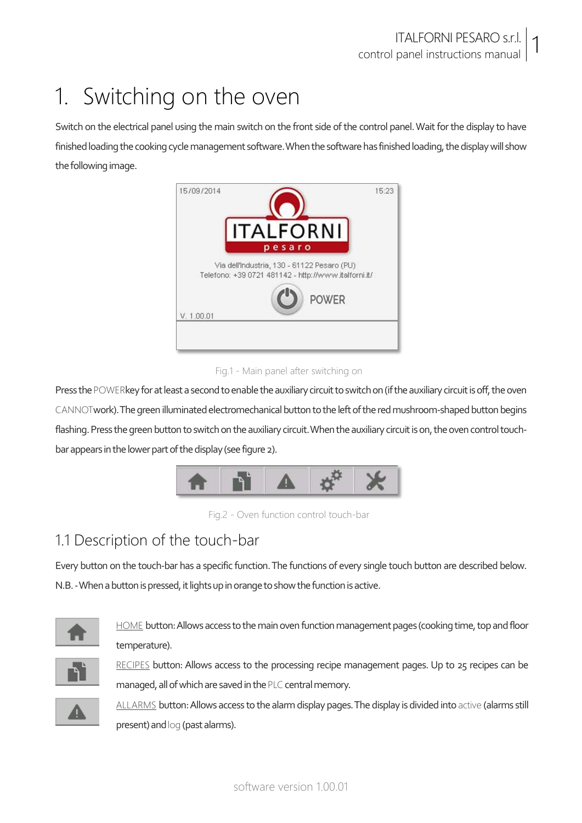## 1. Switching on the oven

Switch on the electrical panel using the main switch on the front side of the control panel. Wait for the display to have finished loading the cooking cycle management software. When the software has finished loading, the display will show the following image.



#### Fig.1 - Main panel after switching on

Press the POWERkey for at least a second to enable the auxiliary circuit to switch on (if the auxiliary circuit is off, the oven CANNOTwork). The green illuminated electromechanical button to the left of the red mushroom-shaped button begins flashing. Press the green button to switch on the auxiliary circuit. When the auxiliary circuit is on, the oven control touchbar appears in the lower part of the display (see figure 2).



Fig.2 - Oven function control touch-bar

### 1.1 Description of the touch-bar

Every button on the touch-bar has a specific function. The functions of every single touch button are described below. N.B. -When a button is pressed, it lights up in orange to show the function is active.



HOME button: Allows access to the main oven function management pages (cooking time, top and floor temperature).



RECIPES button: Allows access to the processing recipe management pages. Up to 25 recipes can be managed, all of which are saved in the PLC central memory.



ALLARMS button: Allows access to the alarm display pages. The display is divided into active (alarms still present) and log (past alarms).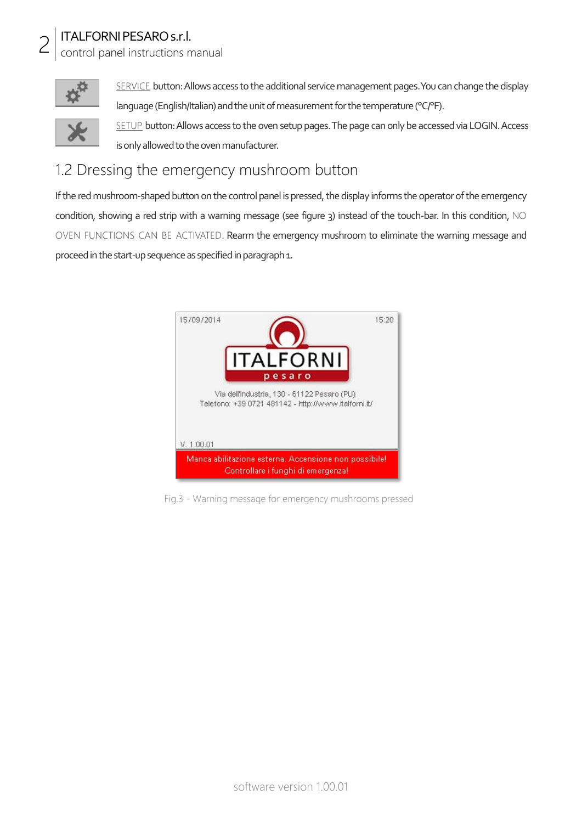control panel instructions manual



SERVICE button: Allows access to the additional service management pages. You can change the display language (English/Italian) and the unit of measurement for the temperature (°C/°F). SETUP button: Allows access to the oven setup pages. The page can only be accessed via LOGIN. Access is only allowed to the oven manufacturer.

#### 1.2 Dressing the emergency mushroom button

If the red mushroom-shaped button on the control panel is pressed, the display informs the operator of the emergency condition, showing a red strip with a warning message (see figure 3) instead of the touch-bar. In this condition, NO OVEN FUNCTIONS CAN BE ACTIVATED. Rearm the emergency mushroom to eliminate the warning message and proceed in the start-up sequence as specified in paragraph 1.



Fig.3 - Warning message for emergency mushrooms pressed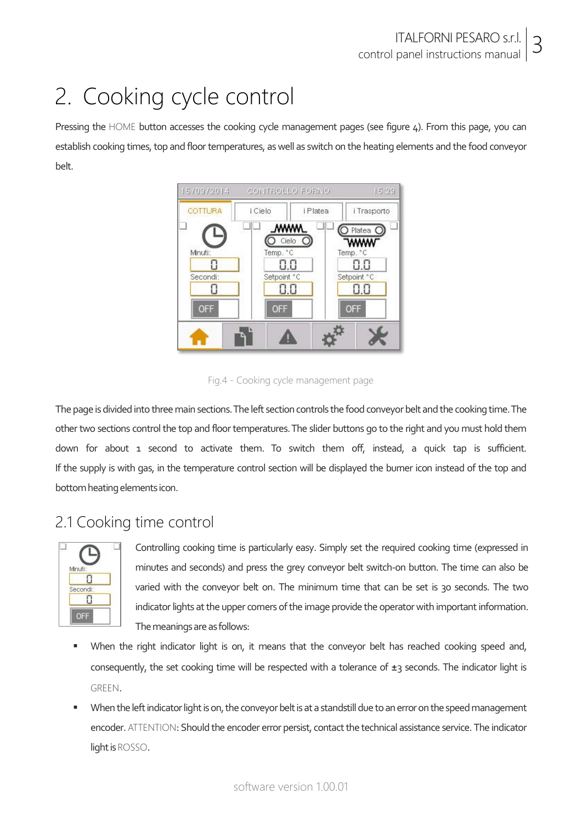### 2. Cooking cycle control

Pressing the HOME button accesses the cooking cycle management pages (see figure 4). From this page, you can establish cooking times, top and floor temperatures, as well as switch on the heating elements and the food conveyor belt.



Fig.4 - Cooking cycle management page

The page is divided into three main sections. The left section controls the food conveyor belt and the cooking time. The other two sections control the top and floor temperatures. The slider buttons go to the right and you must hold them down for about 1 second to activate them. To switch them off, instead, a quick tap is sufficient. If the supply is with gas, in the temperature control section will be displayed the burner icon instead of the top and bottom heating elements icon.

#### 2.1 Cooking time control



Controlling cooking time is particularly easy. Simply set the required cooking time (expressed in minutes and seconds) and press the grey conveyor belt switch-on button. The time can also be varied with the conveyor belt on. The minimum time that can be set is 30 seconds. The two indicator lights at the upper corners of the image provide the operator with important information. The meanings are as follows:

- When the right indicator light is on, it means that the conveyor belt has reached cooking speed and, consequently, the set cooking time will be respected with a tolerance of  $\pm$ 3 seconds. The indicator light is GREEN.
- When the left indicator light is on, the conveyor belt is at a standstill due to an error on the speed management encoder. ATTENTION: Should the encoder error persist, contact the technical assistance service. The indicator light is ROSSO.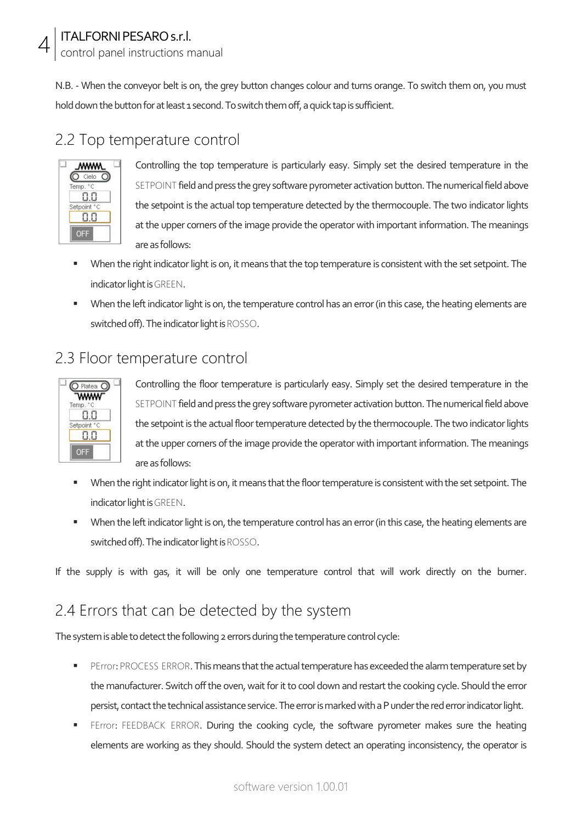control panel instructions manual

N.B. - When the conveyor belt is on, the grey button changes colour and turns orange. To switch them on, you must hold down the button for at least 1 second. To switch them off, a quick tap is sufficient.

#### 2.2 Top temperature control

| ммм         |  |
|-------------|--|
| Cielo       |  |
| Temp<br>°C  |  |
|             |  |
| Setpoint °C |  |
|             |  |
|             |  |

4

Controlling the top temperature is particularly easy. Simply set the desired temperature in the SETPOINT field and press the grey software pyrometer activation button. The numerical field above the setpoint is the actual top temperature detected by the thermocouple. The two indicator lights at the upper corners of the image provide the operator with important information. The meanings are as follows:

- When the right indicator light is on, it means that the top temperature is consistent with the set setpoint. The indicator light is GREEN.
- When the left indicator light is on, the temperature control has an error (in this case, the heating elements are switched off). The indicator light is ROSSO.

#### 2.3 Floor temperature control



Controlling the floor temperature is particularly easy. Simply set the desired temperature in the SETPOINT field and press the grey software pyrometer activation button. The numerical field above the setpoint is the actual floor temperature detected by the thermocouple. The two indicator lights at the upper corners of the image provide the operator with important information. The meanings are as follows:

- When the right indicator light is on, it means that the floor temperature is consistent with the set setpoint. The indicator light is GREEN.
- When the left indicator light is on, the temperature control has an error (in this case, the heating elements are switched off). The indicator light is ROSSO.

If the supply is with gas, it will be only one temperature control that will work directly on the burner.

#### 2.4 Errors that can be detected by the system

The system is able to detect the following 2 errors during the temperature control cycle:

- **PERROCESS ERROR. This means that the actual temperature has exceeded the alarm temperature set by** the manufacturer. Switch off the oven, wait for it to cool down and restart the cooking cycle. Should the error persist, contact the technical assistance service. The error is marked with a P under the red error indicator light.
- FEFFOT: FEEDBACK ERROR. During the cooking cycle, the software pyrometer makes sure the heating elements are working as they should. Should the system detect an operating inconsistency, the operator is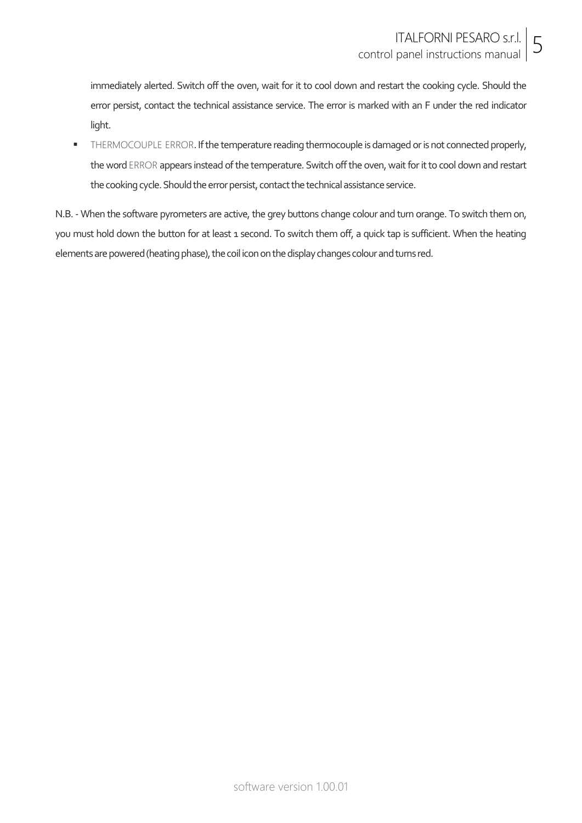immediately alerted. Switch off the oven, wait for it to cool down and restart the cooking cycle. Should the error persist, contact the technical assistance service. The error is marked with an F under the red indicator light.

**THERMOCOUPLE ERROR. If the temperature reading thermocouple is damaged or is not connected properly,** the word ERROR appears instead of the temperature. Switch off the oven, wait for it to cool down and restart the cooking cycle. Should the error persist, contact the technical assistance service.

N.B. - When the software pyrometers are active, the grey buttons change colour and turn orange. To switch them on, you must hold down the button for at least 1 second. To switch them off, a quick tap is sufficient. When the heating elements are powered (heating phase), the coil icon on the display changes colour and turns red.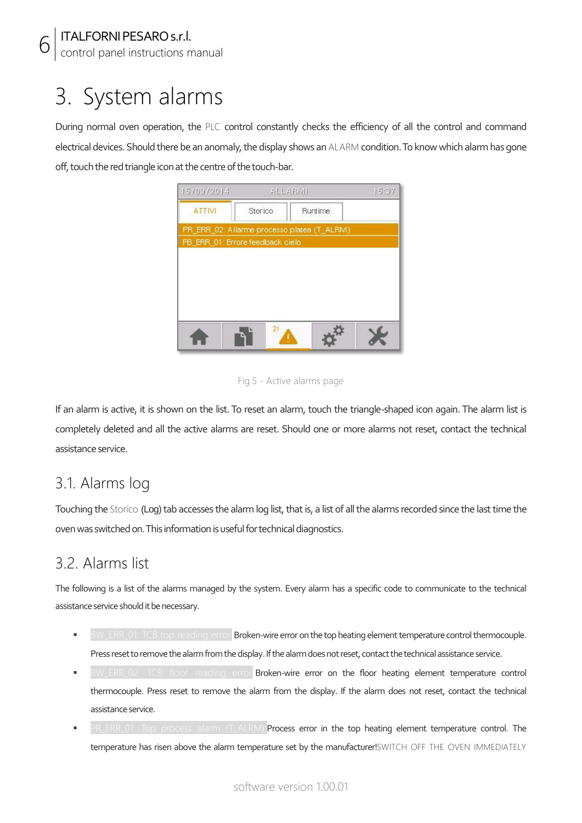6

control panel instructions manual

### 3. System alarms

During normal oven operation, the PLC control constantly checks the efficiency of all the control and command electrical devices. Should there be an anomaly, the display shows an ALARM condition. To know which alarm has gone off, touch the red triangle icon at the centre of the touch-bar.

| 15/09/2014                       | 美しし素容取用 |                                             | 15:37 |
|----------------------------------|---------|---------------------------------------------|-------|
| <b>ATTIVI</b>                    | Storico | Runtime.                                    |       |
|                                  |         | PR_ERR_02: Allarme processo platea (T_ALRM) |       |
| FB ERR 01: Errore feedback cielo |         |                                             |       |
|                                  |         |                                             |       |
|                                  |         |                                             |       |
|                                  |         |                                             |       |
|                                  |         |                                             |       |
|                                  |         |                                             |       |
|                                  | 2!      |                                             |       |
|                                  |         |                                             |       |

Fig.5 - Active alarms page

If an alarm is active, it is shown on the list. To reset an alarm, touch the triangle-shaped icon again. The alarm list is completely deleted and all the active alarms are reset. Should one or more alarms not reset, contact the technical assistance service.

#### 3.1. Alarms log

Touching the Storico (Log) tab accesses the alarm log list, that is, a list of all the alarms recorded since the last time the oven was switched on. This information is useful for technical diagnostics.

#### 3.2. Alarms list

The following is a list of the alarms managed by the system. Every alarm has a specific code to communicate to the technical assistance service should it be necessary.

- Broken-wire error on the top heating element temperature control thermocouple. Press reset to remove the alarm from the display. If the alarm does not reset, contact the technical assistance service.
- BW\_ERR\_02: TCB floor reading error **Broken-wire error on the floor heating element temperature control** thermocouple. Press reset to remove the alarm from the display. If the alarm does not reset, contact the technical assistance service.
- Process error in the top heating element temperature control. The temperature has risen above the alarm temperature set by the manufacturer!SWITCH OFF THE OVEN IMMEDIATELY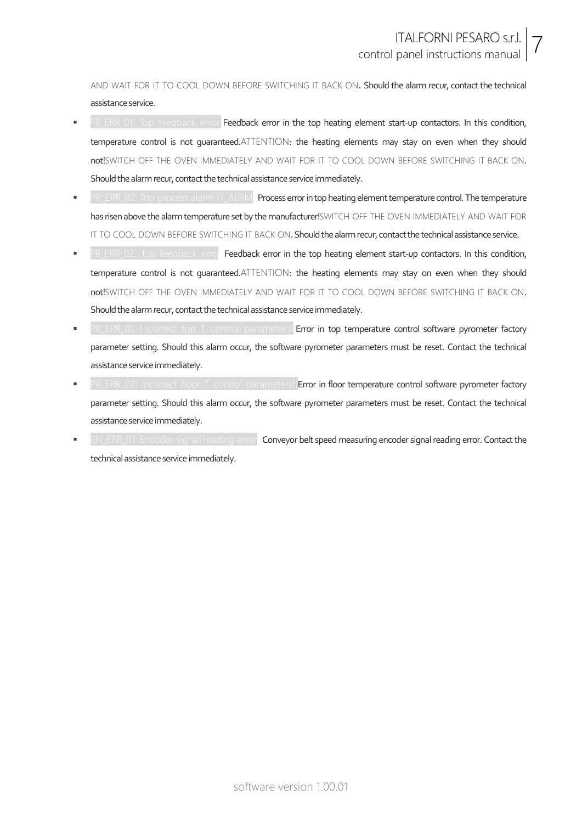AND WAIT FOR IT TO COOL DOWN BEFORE SWITCHING IT BACK ON. Should the alarm recur, contact the technical assistance service.

- FB\_ERR\_01: Top feedback error: Feedback error in the top heating element start-up contactors. In this condition, temperature control is not guaranteed.ATTENTION: the heating elements may stay on even when they should not!SWITCH OFF THE OVEN IMMEDIATELY AND WAIT FOR IT TO COOL DOWN BEFORE SWITCHING IT BACK ON. Should the alarm recur, contact the technical assistance service immediately.
- PR\_ERR\_02: Top process alarm (T\_ALRM): Process error in top heating element temperature control. The temperature has risen above the alarm temperature set by the manufacturer!SWITCH OFF THE OVEN IMMEDIATELY AND WAIT FOR IT TO COOL DOWN BEFORE SWITCHING IT BACK ON. Should the alarm recur, contact the technical assistance service.
- feedback erro. Feedback error in the top heating element start-up contactors. In this condition, temperature control is not guaranteed.ATTENTION: the heating elements may stay on even when they should not!SWITCH OFF THE OVEN IMMEDIATELY AND WAIT FOR IT TO COOL DOWN BEFORE SWITCHING IT BACK ON. Should the alarm recur, contact the technical assistance service immediately.
- **PR\_ERR\_01: Incorrect top T control parameters! Error in top temperature control software pyrometer factory** parameter setting. Should this alarm occur, the software pyrometer parameters must be reset. Contact the technical assistance service immediately.
- ERR\_02: Incorrect floor T control parameters!: Error in floor temperature control software pyrometer factory parameter setting. Should this alarm occur, the software pyrometer parameters must be reset. Contact the technical assistance service immediately.
- encoder signal reading error! Conveyor belt speed measuring encoder signal reading error. Contact the technical assistance service immediately.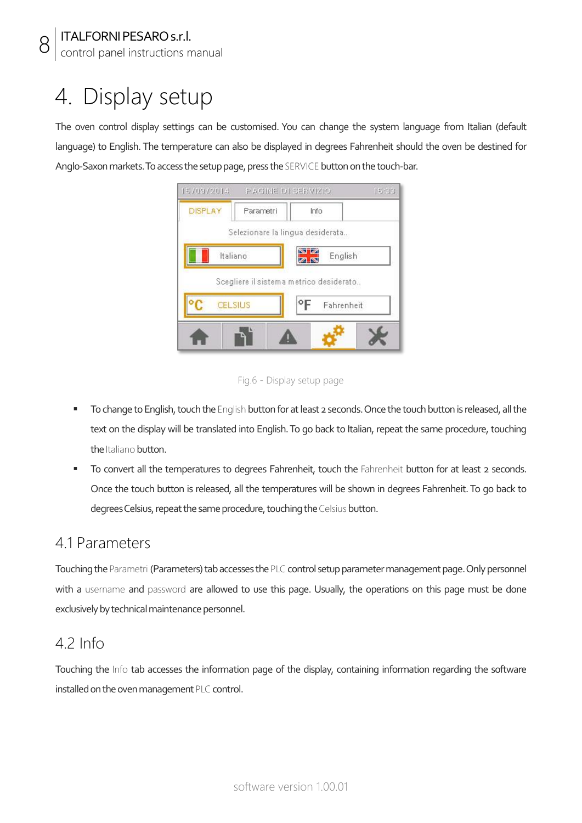8

control panel instructions manual

### 4. Display setup

The oven control display settings can be customised. You can change the system language from Italian (default language) to English. The temperature can also be displayed in degrees Fahrenheit should the oven be destined for Anglo-Saxon markets. To access the setup page, press the SERVICE button on the touch-bar.

|                | 1570972014 PAGINE DI SERVIZIO.          |                  | 15:30 |
|----------------|-----------------------------------------|------------------|-------|
| <b>DISPLAY</b> | Parametri                               | Info             |       |
|                | Selezionare la lingua desiderata        |                  |       |
|                | Italiano                                | N M<br>English   |       |
|                | Scegliere il sistema metrico desiderato |                  |       |
|                | CELSIUS                                 | ۰F<br>Fahrenheit |       |
|                |                                         |                  |       |
|                |                                         |                  |       |

Fig.6 - Display setup page

- To change to English, touch the English button for at least 2 seconds. Once the touch button is released, all the text on the display will be translated into English. To go back to Italian, repeat the same procedure, touching the Italiano button.
- To convert all the temperatures to degrees Fahrenheit, touch the Fahrenheit button for at least 2 seconds. Once the touch button is released, all the temperatures will be shown in degrees Fahrenheit. To go back to degrees Celsius, repeat the same procedure, touching the Celsius button.

#### 4.1 Parameters

Touching the Parametri (Parameters) tab accesses the PLC control setup parameter management page. Only personnel with a username and password are allowed to use this page. Usually, the operations on this page must be done exclusively by technical maintenance personnel.

#### 4.2 Info

Touching the Info tab accesses the information page of the display, containing information regarding the software installed on the oven management PLC control.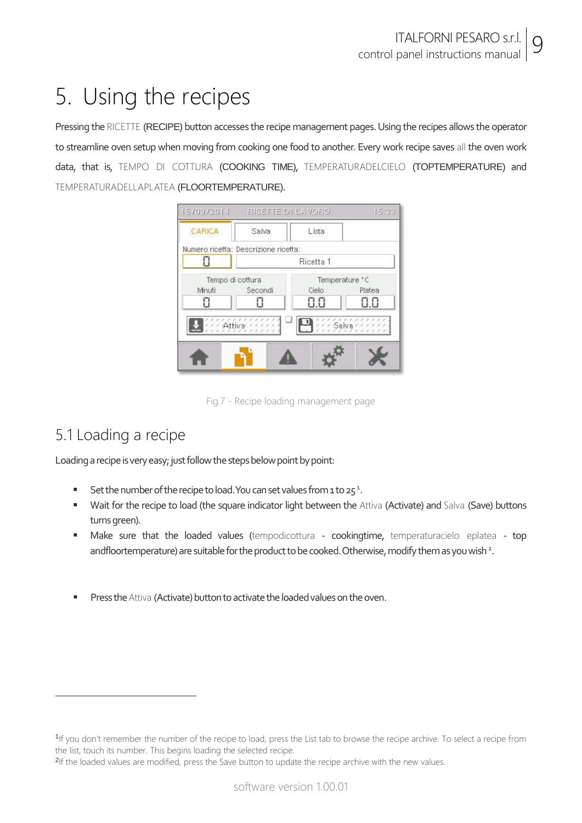## 5. Using the recipes

Pressing the RICETTE (RECIPE) button accesses the recipe management pages. Using the recipes allows the operator to streamline oven setup when moving from cooking one food to another. Every work recipe saves all the oven work data, that is, TEMPO DI COTTURA (COOKING TIME), TEMPERATURADELCIELO (TOPTEMPERATURE) and TEMPERATURADELLAPLATEA (FLOORTEMPERATURE).



Fig.7 - Recipe loading management page

#### 5.1 Loading a recipe

-

Loading a recipe is very easy; just follow the steps below point by point:

- Set the number of the recipe to load. You can set values from 1 to  $25<sup>1</sup>$ .
- Wait for the recipe to load (the square indicator light between the Attiva (Activate) and Salva (Save) buttons turns green).
- **Make sure that the loaded values (tempodicottura cookingtime, temperaturacielo eplatea top** andfloortemperature) are suitable for the product to be cooked. Otherwise, modify them as you wish <sup>2</sup>.
- Press the Attiva (Activate) button to activate the loaded values on the oven.

<sup>1</sup> If you don't remember the number of the recipe to load, press the List tab to browse the recipe archive. To select a recipe from the list, touch its number. This begins loading the selected recipe.

<sup>&</sup>lt;sup>2</sup>If the loaded values are modified, press the Save button to update the recipe archive with the new values.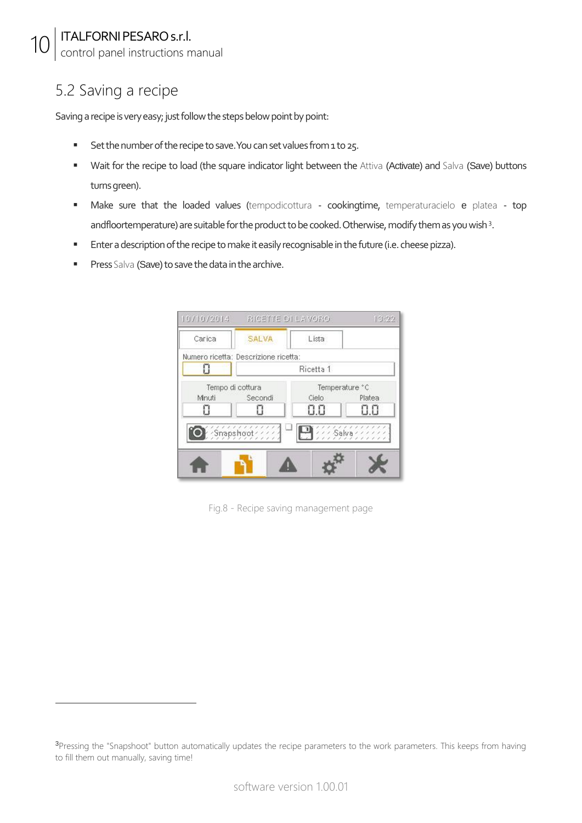control panel instructions manual

#### 5.2 Saving a recipe

-

Saving a recipe is very easy; just follow the steps below point by point:

- Set the number of the recipe to save. You can set values from 1 to 25.
- " Wait for the recipe to load (the square indicator light between the Attiva (Activate) and Salva (Save) buttons turns green).
- **Make sure that the loaded values (tempodicottura cookingtime, temperaturacielo e platea top** andfloortemperature) are suitable for the product to be cooked. Otherwise, modify them as you wish<sup>3</sup>.
- **Enter a description of the recipe to make it easily recognisable in the future (i.e. cheese pizza).**
- **Press Salva (Save) to save the data in the archive.**

|        | 10/10/2014 RICETTE DI LAVORO         |           | 13:22               |  |  |
|--------|--------------------------------------|-----------|---------------------|--|--|
| Carica | <b>SALVA</b>                         | Lista     |                     |  |  |
|        | Numero ricetta: Descrizione ricetta: |           |                     |  |  |
| O      |                                      | Ricetta 1 |                     |  |  |
|        | Tempo di cottura                     |           | Temperature °C      |  |  |
| Mnuti  | Secondi                              | Cielo     | Platea              |  |  |
| П      |                                      | 0.0       |                     |  |  |
|        | $S$ mapshoot                         | $\Box$    | $111$ Salva $11111$ |  |  |
|        |                                      |           |                     |  |  |
|        |                                      |           |                     |  |  |
|        |                                      |           |                     |  |  |

Fig.8 - Recipe saving management page

<sup>&</sup>lt;sup>3</sup>Pressing the "Snapshoot" button automatically updates the recipe parameters to the work parameters. This keeps from having to fill them out manually, saving time!